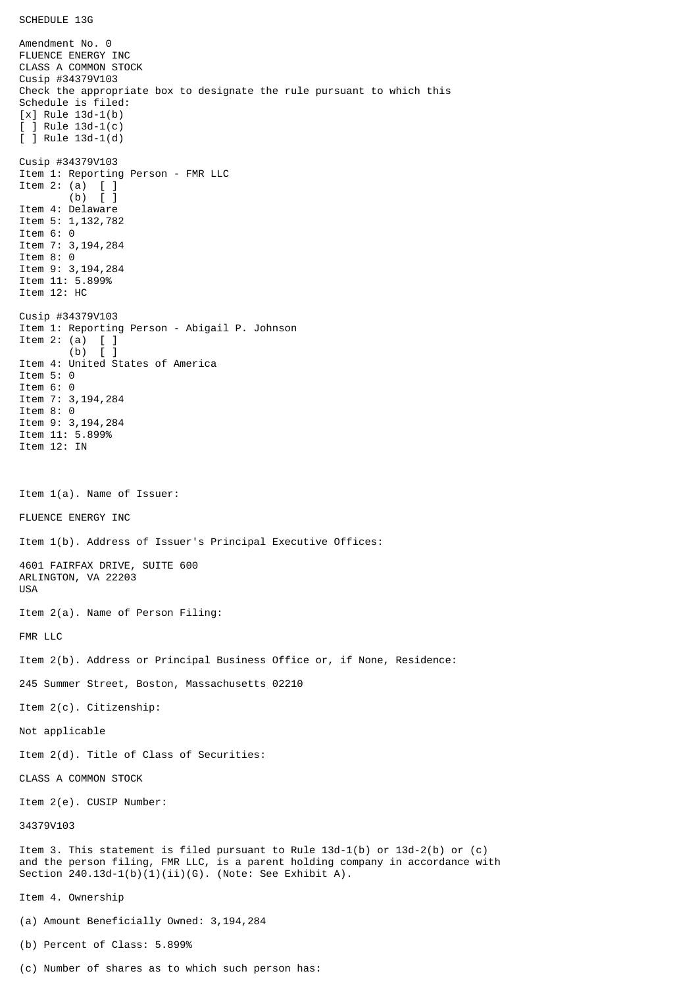Amendment No. 0 FLUENCE ENERGY INC CLASS A COMMON STOCK Cusip #34379V103 Check the appropriate box to designate the rule pursuant to which this Schedule is filed: [x] Rule 13d-1(b) [ ] Rule 13d-1(c) [ ] Rule 13d-1(d) Cusip #34379V103 Item 1: Reporting Person - FMR LLC Item 2: (a) [ ] (b) [ ] Item 4: Delaware Item 5: 1,132,782 Item 6: 0 Item 7: 3,194,284 Item 8: 0 Item 9: 3,194,284 Item 11: 5.899% Item 12: HC Cusip #34379V103 Item 1: Reporting Person - Abigail P. Johnson Item 2: (a)  $[$  ]<br>(b)  $[$  ]  $(b)$ Item 4: United States of America Item 5: 0 Item 6: 0 Item 7: 3,194,284 Item 8: 0 Item 9: 3,194,284 Item 11: 5.899% Item 12: IN Item 1(a). Name of Issuer: FLUENCE ENERGY INC Item 1(b). Address of Issuer's Principal Executive Offices: 4601 FAIRFAX DRIVE, SUITE 600 ARLINGTON, VA 22203 USA Item 2(a). Name of Person Filing: FMR LLC Item 2(b). Address or Principal Business Office or, if None, Residence: 245 Summer Street, Boston, Massachusetts 02210 Item 2(c). Citizenship: Not applicable Item 2(d). Title of Class of Securities: CLASS A COMMON STOCK Item 2(e). CUSIP Number: 34379V103 Item 3. This statement is filed pursuant to Rule 13d-1(b) or 13d-2(b) or (c) and the person filing, FMR LLC, is a parent holding company in accordance with Section  $240.13d-1(b)(1)(ii)(G)$ . (Note: See Exhibit A). Item 4. Ownership (a) Amount Beneficially Owned: 3,194,284 (b) Percent of Class: 5.899%

(c) Number of shares as to which such person has: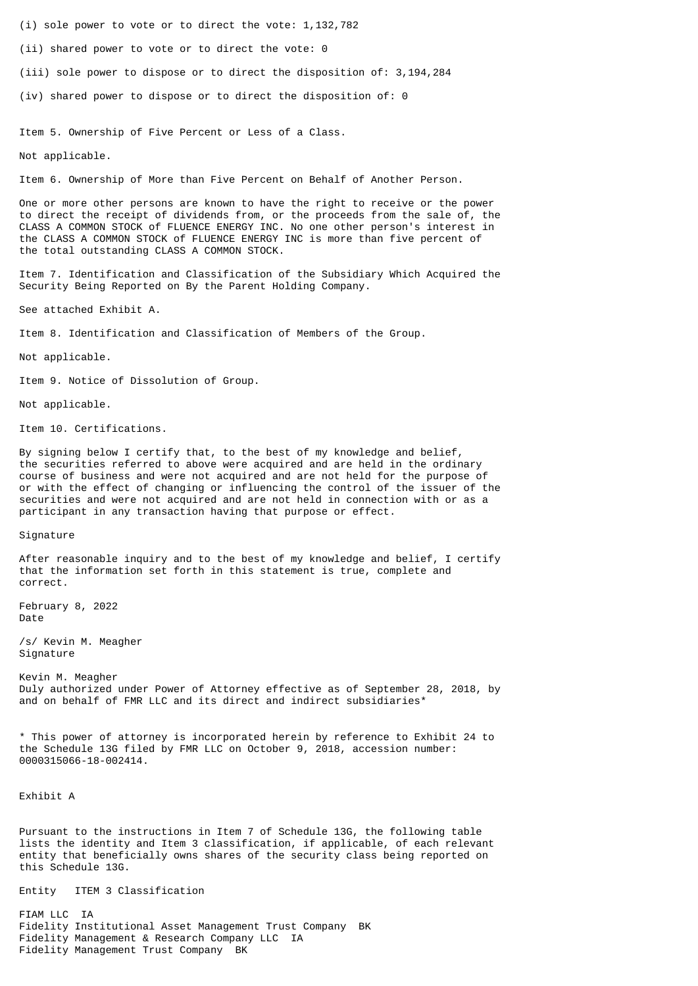- (i) sole power to vote or to direct the vote: 1,132,782
- (ii) shared power to vote or to direct the vote: 0
- (iii) sole power to dispose or to direct the disposition of: 3,194,284
- (iv) shared power to dispose or to direct the disposition of: 0

Item 5. Ownership of Five Percent or Less of a Class.

Not applicable.

Item 6. Ownership of More than Five Percent on Behalf of Another Person.

One or more other persons are known to have the right to receive or the power to direct the receipt of dividends from, or the proceeds from the sale of, the CLASS A COMMON STOCK of FLUENCE ENERGY INC. No one other person's interest in the CLASS A COMMON STOCK of FLUENCE ENERGY INC is more than five percent of the total outstanding CLASS A COMMON STOCK.

Item 7. Identification and Classification of the Subsidiary Which Acquired the Security Being Reported on By the Parent Holding Company.

See attached Exhibit A.

Item 8. Identification and Classification of Members of the Group.

Not applicable.

Item 9. Notice of Dissolution of Group.

Not applicable.

Item 10. Certifications.

By signing below I certify that, to the best of my knowledge and belief, the securities referred to above were acquired and are held in the ordinary course of business and were not acquired and are not held for the purpose of or with the effect of changing or influencing the control of the issuer of the securities and were not acquired and are not held in connection with or as a participant in any transaction having that purpose or effect.

Signature

After reasonable inquiry and to the best of my knowledge and belief, I certify that the information set forth in this statement is true, complete and correct.

February 8, 2022 Date

/s/ Kevin M. Meagher Signature

Kevin M. Meagher Duly authorized under Power of Attorney effective as of September 28, 2018, by and on behalf of FMR LLC and its direct and indirect subsidiaries\*

\* This power of attorney is incorporated herein by reference to Exhibit 24 to the Schedule 13G filed by FMR LLC on October 9, 2018, accession number: 0000315066-18-002414.

Exhibit A

Pursuant to the instructions in Item 7 of Schedule 13G, the following table lists the identity and Item 3 classification, if applicable, of each relevant entity that beneficially owns shares of the security class being reported on this Schedule 13G.

Entity ITEM 3 Classification

FIAM LLC IA Fidelity Institutional Asset Management Trust Company BK Fidelity Management & Research Company LLC IA Fidelity Management Trust Company BK